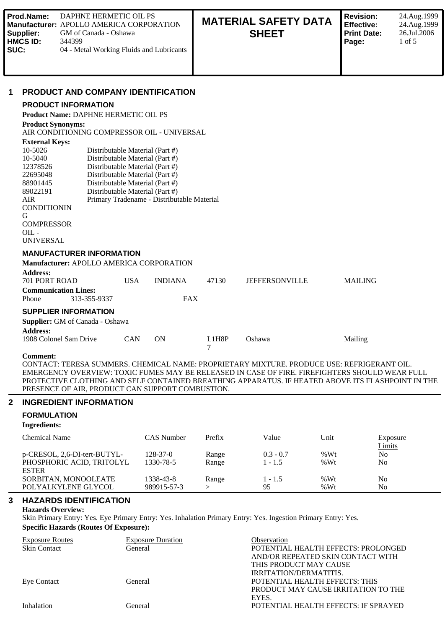| Prod.Name:<br>Supplier:<br><b>HMCS ID:</b><br>SUC:                                                                                                                                                                            | <b>DAPHNE HERMETIC OIL PS</b><br>GM of Canada - Oshawa<br>344399          | <b>Manufacturer: APOLLO AMERICA CORPORATION</b><br>04 - Metal Working Fluids and Lubricants                                                                                                                                                                                                                                                              |            |       | <b>MATERIAL SAFETY DATA</b><br><b>SHEET</b> | <b>Revision:</b><br><b>Effective:</b><br><b>Print Date:</b><br>Page: | 24.Aug.1999<br>24.Aug.1999<br>26.Jul.2006<br>$1$ of $5$ |
|-------------------------------------------------------------------------------------------------------------------------------------------------------------------------------------------------------------------------------|---------------------------------------------------------------------------|----------------------------------------------------------------------------------------------------------------------------------------------------------------------------------------------------------------------------------------------------------------------------------------------------------------------------------------------------------|------------|-------|---------------------------------------------|----------------------------------------------------------------------|---------------------------------------------------------|
| 1<br><b>Product Synonyms:</b><br><b>External Keys:</b><br>10-5026<br>$10 - 5040$<br>12378526<br>22695048<br>88901445<br>89022191<br><b>AIR</b><br><b>CONDITIONIN</b><br>G<br><b>COMPRESSOR</b><br>$OIL -$<br><b>UNIVERSAL</b> | <b>PRODUCT INFORMATION</b><br><b>Product Name: DAPHNE HERMETIC OIL PS</b> | <b>PRODUCT AND COMPANY IDENTIFICATION</b><br>AIR CONDITIONING COMPRESSOR OIL - UNIVERSAL<br>Distributable Material (Part #)<br>Distributable Material (Part #)<br>Distributable Material (Part #)<br>Distributable Material (Part #)<br>Distributable Material (Part #)<br>Distributable Material (Part #)<br>Primary Tradename - Distributable Material |            |       |                                             |                                                                      |                                                         |
| <b>Address:</b>                                                                                                                                                                                                               | <b>MANUFACTURER INFORMATION</b>                                           | Manufacturer: APOLLO AMERICA CORPORATION                                                                                                                                                                                                                                                                                                                 |            |       |                                             |                                                                      |                                                         |
| 701 PORT ROAD                                                                                                                                                                                                                 |                                                                           | <b>USA</b><br><b>INDIANA</b>                                                                                                                                                                                                                                                                                                                             |            | 47130 | <b>JEFFERSONVILLE</b>                       | <b>MAILING</b>                                                       |                                                         |
| Phone                                                                                                                                                                                                                         | <b>Communication Lines:</b><br>313-355-9337                               |                                                                                                                                                                                                                                                                                                                                                          | <b>FAX</b> |       |                                             |                                                                      |                                                         |

# **SUPPLIER INFORMATION**

**Supplier:** GM of Canada - Oshawa

| <b>Address:</b>        |            |    |                                 |        |         |
|------------------------|------------|----|---------------------------------|--------|---------|
| 1908 Colonel Sam Drive | <b>CAN</b> | ON | L <sub>1</sub> H <sub>8</sub> P | Oshawa | Mailing |

#### **Comment:**

CONTACT: TERESA SUMMERS. CHEMICAL NAME: PROPRIETARY MIXTURE. PRODUCE USE: REFRIGERANT OIL. EMERGENCY OVERVIEW: TOXIC FUMES MAY BE RELEASED IN CASE OF FIRE. FIREFIGHTERS SHOULD WEAR FULL PROTECTIVE CLOTHING AND SELF CONTAINED BREATHING APPARATUS. IF HEATED ABOVE ITS FLASHPOINT IN THE PRESENCE OF AIR, PRODUCT CAN SUPPORT COMBUSTION.

## **2 INGREDIENT INFORMATION**

## **FORMULATION**

**Ingredients:**

| <b>Chemical Name</b>                                                      | CAS Number                  | Prefix         | Value                    | Unit             | <b>Exposure</b><br><b>Limits</b> |
|---------------------------------------------------------------------------|-----------------------------|----------------|--------------------------|------------------|----------------------------------|
| p-CRESOL, 2,6-DI-tert-BUTYL-<br>PHOSPHORIC ACID, TRITOLYL<br><b>ESTER</b> | $128 - 37 - 0$<br>1330-78-5 | Range<br>Range | $0.3 - 0.7$<br>$1 - 1.5$ | % $Wt$<br>% $Wt$ | N <sub>0</sub><br>No             |
| SORBITAN, MONOOLEATE<br>POLYALKYLENE GLYCOL                               | 1338-43-8<br>989915-57-3    | Range          | $1 - 1.5$<br>95          | % $Wt$<br>% $Wt$ | No<br>No                         |

# **3 HAZARDS IDENTIFICATION**

## **Hazards Overview:**

Skin Primary Entry: Yes. Eye Primary Entry: Yes. Inhalation Primary Entry: Yes. Ingestion Primary Entry: Yes. **Specific Hazards (Routes Of Exposure):**

| <b>Exposure Routes</b> | <b>Exposure Duration</b> | Observation                          |
|------------------------|--------------------------|--------------------------------------|
| <b>Skin Contact</b>    | General                  | POTENTIAL HEALTH EFFECTS: PROLONGED  |
|                        |                          | AND/OR REPEATED SKIN CONTACT WITH    |
|                        |                          | THIS PRODUCT MAY CAUSE               |
|                        |                          | IRRITATION/DERMATITIS.               |
| <b>Eve Contact</b>     | General                  | POTENTIAL HEALTH EFFECTS: THIS       |
|                        |                          | PRODUCT MAY CAUSE IRRITATION TO THE  |
|                        |                          | EYES.                                |
| Inhalation             | General                  | POTENTIAL HEALTH EFFECTS: IF SPRAYED |
|                        |                          |                                      |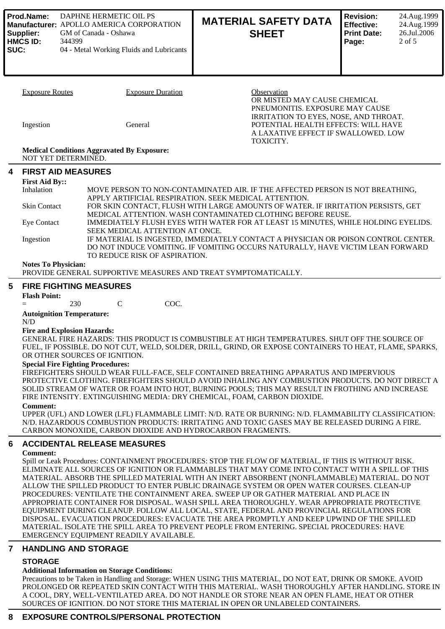| Prod.Name:<br>DAPHNE HERMETIC OIL PS<br>Manufacturer: APOLLO AMERICA CORPORATION<br>Supplier:<br>GM of Canada - Oshawa<br><b>HMCS ID:</b><br>344399<br>SUC:<br>04 - Metal Working Fluids and Lubricants |                                                                                                                                                                                     |                                                                           | <b>MATERIAL SAFETY DATA</b><br><b>SHEET</b>                                                                                                                                                                                                                                     | <b>Revision:</b><br>24.Aug.1999<br><b>Effective:</b><br>24.Aug.1999<br>26.Jul.2006<br><b>Print Date:</b><br>$2$ of 5<br>Page: |  |  |  |
|---------------------------------------------------------------------------------------------------------------------------------------------------------------------------------------------------------|-------------------------------------------------------------------------------------------------------------------------------------------------------------------------------------|---------------------------------------------------------------------------|---------------------------------------------------------------------------------------------------------------------------------------------------------------------------------------------------------------------------------------------------------------------------------|-------------------------------------------------------------------------------------------------------------------------------|--|--|--|
|                                                                                                                                                                                                         | <b>Exposure Routes</b>                                                                                                                                                              | <b>Exposure Duration</b>                                                  | Observation<br>OR MISTED MAY CAUSE CHEMICAL<br>PNEUMONITIS. EXPOSURE MAY CAUSE                                                                                                                                                                                                  |                                                                                                                               |  |  |  |
|                                                                                                                                                                                                         | Ingestion                                                                                                                                                                           | General<br><b>Medical Conditions Aggravated By Exposure:</b>              | IRRITATION TO EYES, NOSE, AND THROAT.<br>POTENTIAL HEALTH EFFECTS: WILL HAVE<br>A LAXATIVE EFFECT IF SWALLOWED. LOW<br>TOXICITY.                                                                                                                                                |                                                                                                                               |  |  |  |
|                                                                                                                                                                                                         | NOT YET DETERMINED.                                                                                                                                                                 |                                                                           |                                                                                                                                                                                                                                                                                 |                                                                                                                               |  |  |  |
| 4                                                                                                                                                                                                       | <b>FIRST AID MEASURES</b>                                                                                                                                                           |                                                                           |                                                                                                                                                                                                                                                                                 |                                                                                                                               |  |  |  |
|                                                                                                                                                                                                         | <b>First Aid By::</b><br>Inhalation                                                                                                                                                 |                                                                           | MOVE PERSON TO NON-CONTAMINATED AIR. IF THE AFFECTED PERSON IS NOT BREATHING,                                                                                                                                                                                                   |                                                                                                                               |  |  |  |
|                                                                                                                                                                                                         | <b>Skin Contact</b>                                                                                                                                                                 |                                                                           | APPLY ARTIFICIAL RESPIRATION. SEEK MEDICAL ATTENTION.<br>FOR SKIN CONTACT, FLUSH WITH LARGE AMOUNTS OF WATER. IF IRRITATION PERSISTS, GET                                                                                                                                       |                                                                                                                               |  |  |  |
|                                                                                                                                                                                                         |                                                                                                                                                                                     |                                                                           | MEDICAL ATTENTION. WASH CONTAMINATED CLOTHING BEFORE REUSE.                                                                                                                                                                                                                     |                                                                                                                               |  |  |  |
|                                                                                                                                                                                                         | <b>Eye Contact</b>                                                                                                                                                                  | SEEK MEDICAL ATTENTION AT ONCE.                                           | IMMEDIATELY FLUSH EYES WITH WATER FOR AT LEAST 15 MINUTES, WHILE HOLDING EYELIDS.                                                                                                                                                                                               |                                                                                                                               |  |  |  |
|                                                                                                                                                                                                         | IF MATERIAL IS INGESTED, IMMEDIATELY CONTACT A PHYSICIAN OR POISON CONTROL CENTER.<br>Ingestion<br>DO NOT INDUCE VOMITING. IF VOMITING OCCURS NATURALLY, HAVE VICTIM LEAN FORWARD   |                                                                           |                                                                                                                                                                                                                                                                                 |                                                                                                                               |  |  |  |
|                                                                                                                                                                                                         | TO REDUCE RISK OF ASPIRATION.<br><b>Notes To Physician:</b><br>PROVIDE GENERAL SUPPORTIVE MEASURES AND TREAT SYMPTOMATICALLY.                                                       |                                                                           |                                                                                                                                                                                                                                                                                 |                                                                                                                               |  |  |  |
| 5                                                                                                                                                                                                       | <b>FIRE FIGHTING MEASURES</b>                                                                                                                                                       |                                                                           |                                                                                                                                                                                                                                                                                 |                                                                                                                               |  |  |  |
|                                                                                                                                                                                                         | <b>Flash Point:</b><br>$=$                                                                                                                                                          | COC.<br>$\mathbf C$<br>230                                                |                                                                                                                                                                                                                                                                                 |                                                                                                                               |  |  |  |
|                                                                                                                                                                                                         | <b>Autoignition Temperature:</b>                                                                                                                                                    |                                                                           |                                                                                                                                                                                                                                                                                 |                                                                                                                               |  |  |  |
|                                                                                                                                                                                                         | N/D<br><b>Fire and Explosion Hazards:</b>                                                                                                                                           |                                                                           |                                                                                                                                                                                                                                                                                 |                                                                                                                               |  |  |  |
|                                                                                                                                                                                                         |                                                                                                                                                                                     |                                                                           | GENERAL FIRE HAZARDS: THIS PRODUCT IS COMBUSTIBLE AT HIGH TEMPERATURES. SHUT OFF THE SOURCE OF<br>FUEL, IF POSSIBLE. DO NOT CUT, WELD, SOLDER, DRILL, GRIND, OR EXPOSE CONTAINERS TO HEAT, FLAME, SPARKS,                                                                       |                                                                                                                               |  |  |  |
|                                                                                                                                                                                                         |                                                                                                                                                                                     | OR OTHER SOURCES OF IGNITION.<br><b>Special Fire Fighting Procedures:</b> |                                                                                                                                                                                                                                                                                 |                                                                                                                               |  |  |  |
|                                                                                                                                                                                                         |                                                                                                                                                                                     |                                                                           | FIREFIGHTERS SHOULD WEAR FULL-FACE, SELF CONTAINED BREATHING APPARATUS AND IMPERVIOUS                                                                                                                                                                                           |                                                                                                                               |  |  |  |
|                                                                                                                                                                                                         |                                                                                                                                                                                     |                                                                           | PROTECTIVE CLOTHING. FIREFIGHTERS SHOULD AVOID INHALING ANY COMBUSTION PRODUCTS. DO NOT DIRECT A<br>SOLID STREAM OF WATER OR FOAM INTO HOT, BURNING POOLS; THIS MAY RESULT IN FROTHING AND INCREASE<br>FIRE INTENSITY. EXTINGUISHING MEDIA: DRY CHEMICAL, FOAM, CARBON DIOXIDE. |                                                                                                                               |  |  |  |
|                                                                                                                                                                                                         | <b>Comment:</b>                                                                                                                                                                     |                                                                           | UPPER (UFL) AND LOWER (LFL) FLAMMABLE LIMIT: N/D. RATE OR BURNING: N/D. FLAMMABILITY CLASSIFICATION:                                                                                                                                                                            |                                                                                                                               |  |  |  |
|                                                                                                                                                                                                         |                                                                                                                                                                                     | CARBON MONOXIDE, CARBON DIOXIDE AND HYDROCARBON FRAGMENTS.                | N/D. HAZARDOUS COMBUSTION PRODUCTS: IRRITATING AND TOXIC GASES MAY BE RELEASED DURING A FIRE.                                                                                                                                                                                   |                                                                                                                               |  |  |  |
| 6                                                                                                                                                                                                       |                                                                                                                                                                                     | <b>ACCIDENTAL RELEASE MEASURES</b>                                        |                                                                                                                                                                                                                                                                                 |                                                                                                                               |  |  |  |
|                                                                                                                                                                                                         | <b>Comment:</b>                                                                                                                                                                     |                                                                           | Spill or Leak Procedures: CONTAINMENT PROCEDURES: STOP THE FLOW OF MATERIAL, IF THIS IS WITHOUT RISK.                                                                                                                                                                           |                                                                                                                               |  |  |  |
|                                                                                                                                                                                                         |                                                                                                                                                                                     |                                                                           | ELIMINATE ALL SOURCES OF IGNITION OR FLAMMABLES THAT MAY COME INTO CONTACT WITH A SPILL OF THIS<br>MATERIAL. ABSORB THE SPILLED MATERIAL WITH AN INERT ABSORBENT (NONFLAMMABLE) MATERIAL. DO NOT                                                                                |                                                                                                                               |  |  |  |
|                                                                                                                                                                                                         |                                                                                                                                                                                     |                                                                           | ALLOW THE SPILLED PRODUCT TO ENTER PUBLIC DRAINAGE SYSTEM OR OPEN WATER COURSES. CLEAN-UP                                                                                                                                                                                       |                                                                                                                               |  |  |  |
|                                                                                                                                                                                                         | PROCEDURES: VENTILATE THE CONTAINMENT AREA. SWEEP UP OR GATHER MATERIAL AND PLACE IN<br>APPROPRIATE CONTAINER FOR DISPOSAL. WASH SPILL AREA THOROUGHLY. WEAR APPROPRIATE PROTECTIVE |                                                                           |                                                                                                                                                                                                                                                                                 |                                                                                                                               |  |  |  |
|                                                                                                                                                                                                         |                                                                                                                                                                                     |                                                                           | EQUIPMENT DURING CLEANUP. FOLLOW ALL LOCAL, STATE, FEDERAL AND PROVINCIAL REGULATIONS FOR<br>DISPOSAL. EVACUATION PROCEDURES: EVACUATE THE AREA PROMPTLY AND KEEP UPWIND OF THE SPILLED                                                                                         |                                                                                                                               |  |  |  |
|                                                                                                                                                                                                         |                                                                                                                                                                                     | EMERGENCY EQUIPMENT READILY AVAILABLE.                                    | MATERIAL. ISOLATE THE SPILL AREA TO PREVENT PEOPLE FROM ENTERING. SPECIAL PROCEDURES: HAVE                                                                                                                                                                                      |                                                                                                                               |  |  |  |
| $\overline{7}$                                                                                                                                                                                          |                                                                                                                                                                                     | <b>HANDLING AND STORAGE</b>                                               |                                                                                                                                                                                                                                                                                 |                                                                                                                               |  |  |  |
|                                                                                                                                                                                                         | <b>STORAGE</b>                                                                                                                                                                      |                                                                           |                                                                                                                                                                                                                                                                                 |                                                                                                                               |  |  |  |
|                                                                                                                                                                                                         |                                                                                                                                                                                     | <b>Additional Information on Storage Conditions:</b>                      |                                                                                                                                                                                                                                                                                 |                                                                                                                               |  |  |  |

Precautions to be Taken in Handling and Storage: WHEN USING THIS MATERIAL, DO NOT EAT, DRINK OR SMOKE. AVOID PROLONGED OR REPEATED SKIN CONTACT WITH THIS MATERIAL. WASH THOROUGHLY AFTER HANDLING. STORE IN A COOL, DRY, WELL-VENTILATED AREA. DO NOT HANDLE OR STORE NEAR AN OPEN FLAME, HEAT OR OTHER<br>A COOL, DRY, WELL-VENTILATED AREA. DO NOTHER AND DON'T OR UNLARED CONTAINING SOURCES OF IGNITION. DO NOT STORE THIS MATERIAL IN OPEN OR UNLABELED CONTAINERS.

## **8 EXPOSURE CONTROLS/PERSONAL PROTECTION**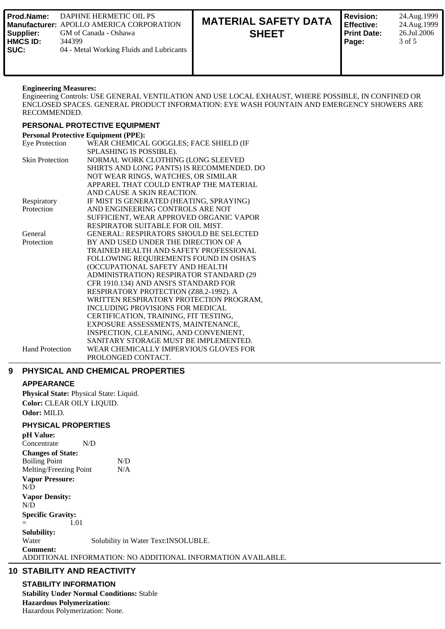| DAPHNE HERMETIC OIL PS<br>l Prod.Name:<br><b>I Manufacturer: APOLLO AMERICA CORPORATION</b><br>GM of Canada - Oshawa<br>'Supplier:<br><b>HMCS ID:</b><br>344399<br>l SUC:<br>04 - Metal Working Fluids and Lubricants | <b>MATERIAL SAFETY DATA</b><br><b>SHEET</b> | <b>Revision:</b><br><b>Effective:</b><br>l Print Date:<br>Page: |
|-----------------------------------------------------------------------------------------------------------------------------------------------------------------------------------------------------------------------|---------------------------------------------|-----------------------------------------------------------------|
|-----------------------------------------------------------------------------------------------------------------------------------------------------------------------------------------------------------------------|---------------------------------------------|-----------------------------------------------------------------|

### **Engineering Measures:**

Engineering Controls: USE GENERAL VENTILATION AND USE LOCAL EXHAUST, WHERE POSSIBLE, IN CONFINED OR ENCLOSED SPACES. GENERAL PRODUCT INFORMATION: EYE WASH FOUNTAIN AND EMERGENCY SHOWERS ARE RECOMMENDED.

**Revision:** 24.Aug.1999 **Effective:** 24.Aug.1999 **Print Date:** 26.Jul.2006 **Page:** 3 of 5

## **PERSONAL PROTECTIVE EQUIPMENT**

| <b>Personal Protective Equipment (PPE):</b> |                                                |  |  |  |  |
|---------------------------------------------|------------------------------------------------|--|--|--|--|
| <b>Eye Protection</b>                       | WEAR CHEMICAL GOGGLES; FACE SHIELD (IF         |  |  |  |  |
|                                             | SPLASHING IS POSSIBLE).                        |  |  |  |  |
| <b>Skin Protection</b>                      | NORMAL WORK CLOTHING (LONG SLEEVED             |  |  |  |  |
|                                             | SHIRTS AND LONG PANTS) IS RECOMMENDED. DO      |  |  |  |  |
|                                             | NOT WEAR RINGS, WATCHES, OR SIMILAR            |  |  |  |  |
|                                             | APPAREL THAT COULD ENTRAP THE MATERIAL         |  |  |  |  |
|                                             | AND CAUSE A SKIN REACTION.                     |  |  |  |  |
| Respiratory                                 | IF MIST IS GENERATED (HEATING, SPRAYING)       |  |  |  |  |
| Protection                                  | AND ENGINEERING CONTROLS ARE NOT               |  |  |  |  |
|                                             | SUFFICIENT, WEAR APPROVED ORGANIC VAPOR        |  |  |  |  |
|                                             | RESPIRATOR SUITABLE FOR OIL MIST.              |  |  |  |  |
| General                                     | <b>GENERAL: RESPIRATORS SHOULD BE SELECTED</b> |  |  |  |  |
| Protection                                  | BY AND USED UNDER THE DIRECTION OF A           |  |  |  |  |
|                                             | TRAINED HEALTH AND SAFETY PROFESSIONAL         |  |  |  |  |
|                                             | FOLLOWING REQUIREMENTS FOUND IN OSHA'S         |  |  |  |  |
|                                             | (OCCUPATIONAL SAFETY AND HEALTH                |  |  |  |  |
|                                             | ADMINISTRATION) RESPIRATOR STANDARD (29        |  |  |  |  |
|                                             | CFR 1910.134) AND ANSI'S STANDARD FOR          |  |  |  |  |
|                                             | RESPIRATORY PROTECTION (Z88.2-1992). A         |  |  |  |  |
|                                             | WRITTEN RESPIRATORY PROTECTION PROGRAM,        |  |  |  |  |
|                                             | <b>INCLUDING PROVISIONS FOR MEDICAL</b>        |  |  |  |  |
|                                             | CERTIFICATION, TRAINING, FIT TESTING,          |  |  |  |  |
|                                             | EXPOSURE ASSESSMENTS, MAINTENANCE,             |  |  |  |  |
|                                             | INSPECTION, CLEANING, AND CONVENIENT,          |  |  |  |  |
|                                             | SANITARY STORAGE MUST BE IMPLEMENTED.          |  |  |  |  |
| <b>Hand Protection</b>                      | WEAR CHEMICALLY IMPERVIOUS GLOVES FOR          |  |  |  |  |
|                                             | PROLONGED CONTACT.                             |  |  |  |  |

## **9 PHYSICAL AND CHEMICAL PROPERTIES**

## **APPEARANCE**

**Physical State:** Physical State: Liquid. **Color:** CLEAR OILY LIQUID. **Odor:** MILD.

## **PHYSICAL PROPERTIES**

**pH Value:** Concentrate N/D **Changes of State:** Boiling Point N/D Melting/Freezing Point N/A **Vapor Pressure:** N/D **Vapor Density:** N/D **Specific Gravity:**  $=$  1.01 **Solubility:** Water Solubility in Water Text: INSOLUBLE. **Comment:** ADDITIONAL INFORMATION: NO ADDITIONAL INFORMATION AVAILABLE.

## **10 STABILITY AND REACTIVITY**

**STABILITY INFORMATION Stability Under Normal Conditions:** Stable **Hazardous Polymerization:** Hazardous Polymerization: None.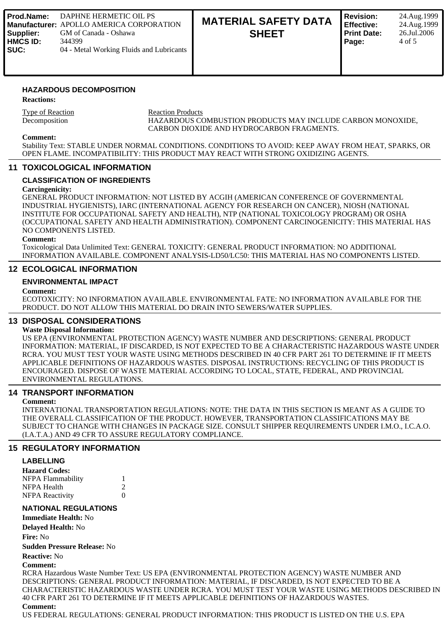| Prod.Name:<br>Supplier:<br><b>HMCS ID:</b><br><b>SUC:</b> | DAPHNE HERMETIC OIL PS<br><b>I Manufacturer: APOLLO AMERICA CORPORATION</b><br>GM of Canada - Oshawa<br>344399<br>04 - Metal Working Fluids and Lubricants | <b>MATERIAL SAFETY DATA</b><br><b>SHEET</b> | <b>Revision:</b><br>Effective:<br>Print Date:<br>Page: | 24.Aug.1999<br>24.Aug.1999<br>26.Jul.2006<br>4 of 5 |
|-----------------------------------------------------------|------------------------------------------------------------------------------------------------------------------------------------------------------------|---------------------------------------------|--------------------------------------------------------|-----------------------------------------------------|
|-----------------------------------------------------------|------------------------------------------------------------------------------------------------------------------------------------------------------------|---------------------------------------------|--------------------------------------------------------|-----------------------------------------------------|

### **HAZARDOUS DECOMPOSITION**

**Reactions:**

Type of Reaction<br>Decomposition FINZARDOUS CONSECT HAZARDOUS COMBUSTION PRODUCTS MAY INCLUDE CARBON MONOXIDE, CARBON DIOXIDE AND HYDROCARBON FRAGMENTS.

#### **Comment:**

Stability Text: STABLE UNDER NORMAL CONDITIONS. CONDITIONS TO AVOID: KEEP AWAY FROM HEAT, SPARKS, OR OPEN FLAME. INCOMPATIBILITY: THIS PRODUCT MAY REACT WITH STRONG OXIDIZING AGENTS.

#### **11 TOXICOLOGICAL INFORMATION**

#### **CLASSIFICATION OF INGREDIENTS**

#### **Carcingenicity:**

GENERAL PRODUCT INFORMATION: NOT LISTED BY ACGIH (AMERICAN CONFERENCE OF GOVERNMENTAL INDUSTRIAL HYGIENISTS), IARC (INTERNATIONAL AGENCY FOR RESEARCH ON CANCER), NIOSH (NATIONAL INSTITUTE FOR OCCUPATIONAL SAFETY AND HEALTH), NTP (NATIONAL TOXICOLOGY PROGRAM) OR OSHA (OCCUPATIONAL SAFETY AND HEALTH ADMINISTRATION). COMPONENT CARCINOGENICITY: THIS MATERIAL HAS NO COMPONENTS LISTED.

#### **Comment:**

Toxicological Data Unlimited Text: GENERAL TOXICITY: GENERAL PRODUCT INFORMATION: NO ADDITIONAL INFORMATION AVAILABLE. COMPONENT ANALYSIS-LD50/LC50: THIS MATERIAL HAS NO COMPONENTS LISTED.

### **12 ECOLOGICAL INFORMATION**

### **ENVIRONMENTAL IMPACT**

#### **Comment:**

ECOTOXICITY: NO INFORMATION AVAILABLE. ENVIRONMENTAL FATE: NO INFORMATION AVAILABLE FOR THE PRODUCT. DO NOT ALLOW THIS MATERIAL DO DRAIN INTO SEWERS/WATER SUPPLIES.

## **13 DISPOSAL CONSIDERATIONS**

### **Waste Disposal Information:**

US EPA (ENVIRONMENTAL PROTECTION AGENCY) WASTE NUMBER AND DESCRIPTIONS: GENERAL PRODUCT INFORMATION: MATERIAL, IF DISCARDED, IS NOT EXPECTED TO BE A CHARACTERISTIC HAZARDOUS WASTE UNDER RCRA. YOU MUST TEST YOUR WASTE USING METHODS DESCRIBED IN 40 CFR PART 261 TO DETERMINE IF IT MEETS APPLICABLE DEFINITIONS OF HAZARDOUS WASTES. DISPOSAL INSTRUCTIONS: RECYCLING OF THIS PRODUCT IS ENCOURAGED. DISPOSE OF WASTE MATERIAL ACCORDING TO LOCAL, STATE, FEDERAL, AND PROVINCIAL ENVIRONMENTAL REGULATIONS.

### **14 TRANSPORT INFORMATION**

#### **Comment:**

INTERNATIONAL TRANSPORTATION REGULATIONS: NOTE: THE DATA IN THIS SECTION IS MEANT AS A GUIDE TO THE OVERALL CLASSIFICATION OF THE PRODUCT. HOWEVER, TRANSPORTATION CLASSIFICATIONS MAY BE SUBJECT TO CHANGE WITH CHANGES IN PACKAGE SIZE. CONSULT SHIPPER REQUIREMENTS UNDER I.M.O., I.C.A.O. (I.A.T.A.) AND 49 CFR TO ASSURE REGULATORY COMPLIANCE.

### **15 REGULATORY INFORMATION**

#### **LABELLING**

| <b>Hazard Codes:</b>   |          |
|------------------------|----------|
| NFPA Flammability      |          |
| NFPA Health            | 2        |
| <b>NFPA</b> Reactivity | $\Omega$ |

### **NATIONAL REGULATIONS**

**Immediate Health:** No

**Delayed Health:** No

**Fire:** No

**Sudden Pressure Release:** No

#### **Reactive:** No

**Comment:**

RCRA Hazardous Waste Number Text: US EPA (ENVIRONMENTAL PROTECTION AGENCY) WASTE NUMBER AND DESCRIPTIONS: GENERAL PRODUCT INFORMATION: MATERIAL, IF DISCARDED, IS NOT EXPECTED TO BE A CHARACTERISTIC HAZARDOUS WASTE UNDER RCRA. YOU MUST TEST YOUR WASTE USING METHODS DESCRIBED IN 40 CFR PART 261 TO DETERMINE IF IT MEETS APPLICABLE DEFINITIONS OF HAZARDOUS WASTES. **Comment:**

US FEDERAL REGULATIONS: GENERAL PRODUCT INFORMATION: THIS PRODUCT IS LISTED ON THE U.S. EPA